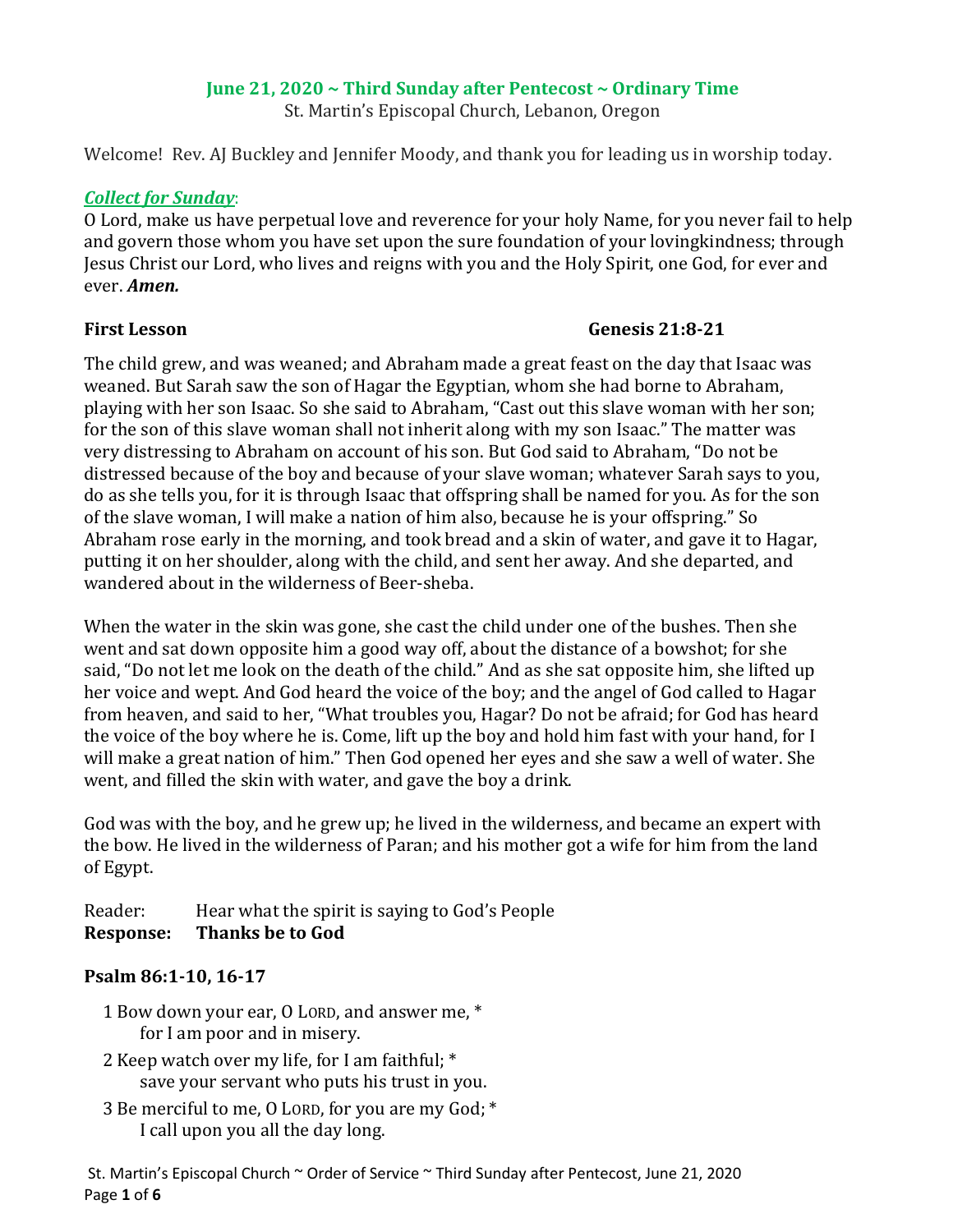## **June 21, 2020 ~ Third Sunday after Pentecost ~ Ordinary Time**

St. Martin's Episcopal Church, Lebanon, Oregon

Welcome! Rev. AJ Buckley and Jennifer Moody, and thank you for leading us in worship today.

## *Collect for Sunday*:

O Lord, make us have perpetual love and reverence for your holy Name, for you never fail to help and govern those whom you have set upon the sure foundation of your lovingkindness; through Jesus Christ our Lord, who lives and reigns with you and the Holy Spirit, one God, for ever and ever. *Amen.*

## **First Lesson Genesis 21:8-21**

The child grew, and was weaned; and Abraham made a great feast on the day that Isaac was weaned. But Sarah saw the son of Hagar the Egyptian, whom she had borne to Abraham, playing with her son Isaac. So she said to Abraham, "Cast out this slave woman with her son; for the son of this slave woman shall not inherit along with my son Isaac." The matter was very distressing to Abraham on account of his son. But God said to Abraham, "Do not be distressed because of the boy and because of your slave woman; whatever Sarah says to you, do as she tells you, for it is through Isaac that offspring shall be named for you. As for the son of the slave woman, I will make a nation of him also, because he is your offspring." So Abraham rose early in the morning, and took bread and a skin of water, and gave it to Hagar, putting it on her shoulder, along with the child, and sent her away. And she departed, and wandered about in the wilderness of Beer-sheba.

When the water in the skin was gone, she cast the child under one of the bushes. Then she went and sat down opposite him a good way off, about the distance of a bowshot; for she said, "Do not let me look on the death of the child." And as she sat opposite him, she lifted up her voice and wept. And God heard the voice of the boy; and the angel of God called to Hagar from heaven, and said to her, "What troubles you, Hagar? Do not be afraid; for God has heard the voice of the boy where he is. Come, lift up the boy and hold him fast with your hand, for I will make a great nation of him." Then God opened her eyes and she saw a well of water. She went, and filled the skin with water, and gave the boy a drink.

God was with the boy, and he grew up; he lived in the wilderness, and became an expert with the bow. He lived in the wilderness of Paran; and his mother got a wife for him from the land of Egypt.

Reader: Hear what the spirit is saying to God's People **Response: Thanks be to God**

## **Psalm 86:1-10, 16-17**

- 1 Bow down your ear, O LORD, and answer me, \* for I am poor and in misery.
- 2 Keep watch over my life, for I am faithful; \* save your servant who puts his trust in you.
- 3 Be merciful to me, O LORD, for you are my God; \* I call upon you all the day long.

St. Martin's Episcopal Church ~ Order of Service ~ Third Sunday after Pentecost, June 21, 2020 Page **1** of **6**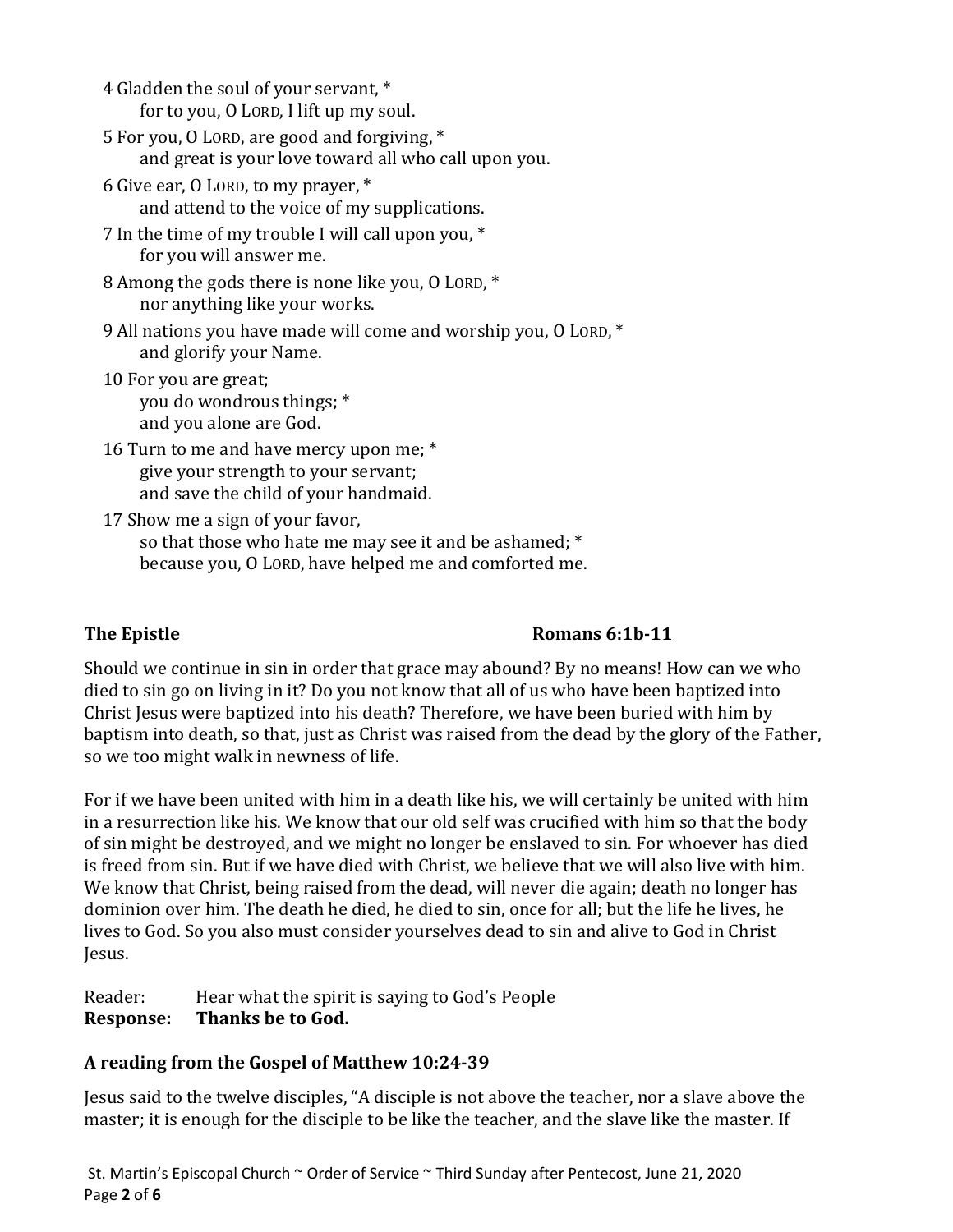- 4 Gladden the soul of your servant, \* for to you, O LORD, I lift up my soul.
- 5 For you, O LORD, are good and forgiving, \* and great is your love toward all who call upon you.
- 6 Give ear, O LORD, to my prayer, \* and attend to the voice of my supplications.
- 7 In the time of my trouble I will call upon you, \* for you will answer me.
- 8 Among the gods there is none like you, O LORD, \* nor anything like your works.
- 9 All nations you have made will come and worship you, O LORD, \* and glorify your Name.
- 10 For you are great; you do wondrous things; \* and you alone are God.
- 16 Turn to me and have mercy upon me; \* give your strength to your servant; and save the child of your handmaid.
- 17 Show me a sign of your favor, so that those who hate me may see it and be ashamed; \* because you, O LORD, have helped me and comforted me.

## **The Epistle Romans 6:1b-11**

Should we continue in sin in order that grace may abound? By no means! How can we who died to sin go on living in it? Do you not know that all of us who have been baptized into Christ Jesus were baptized into his death? Therefore, we have been buried with him by baptism into death, so that, just as Christ was raised from the dead by the glory of the Father, so we too might walk in newness of life.

For if we have been united with him in a death like his, we will certainly be united with him in a resurrection like his. We know that our old self was crucified with him so that the body of sin might be destroyed, and we might no longer be enslaved to sin. For whoever has died is freed from sin. But if we have died with Christ, we believe that we will also live with him. We know that Christ, being raised from the dead, will never die again; death no longer has dominion over him. The death he died, he died to sin, once for all; but the life he lives, he lives to God. So you also must consider yourselves dead to sin and alive to God in Christ Jesus.

Reader: Hear what the spirit is saying to God's People **Response: Thanks be to God.**

# **A reading from the Gospel of Matthew 10:24-39**

Jesus said to the twelve disciples, "A disciple is not above the teacher, nor a slave above the master; it is enough for the disciple to be like the teacher, and the slave like the master. If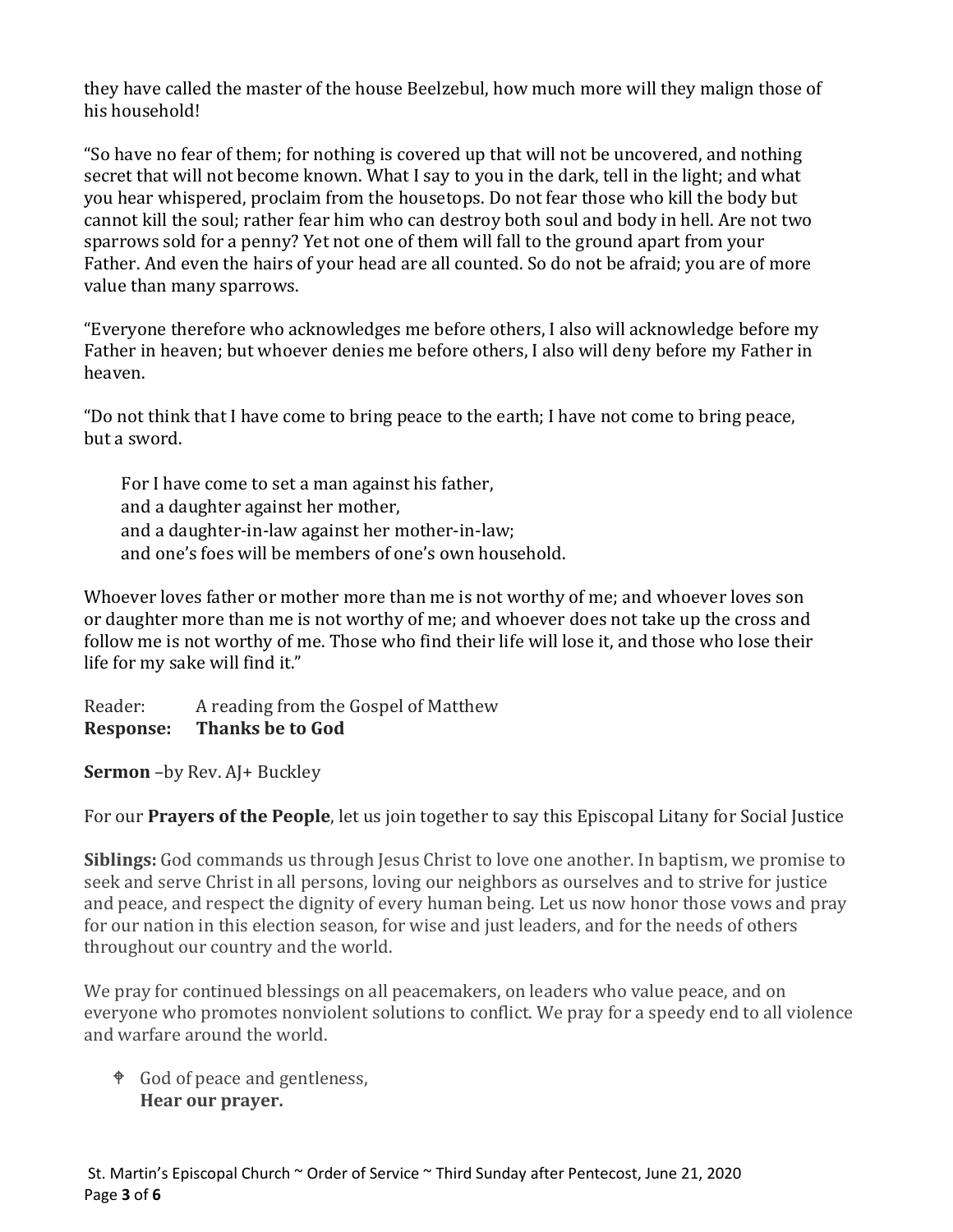they have called the master of the house Beelzebul, how much more will they malign those of his household!

"So have no fear of them; for nothing is covered up that will not be uncovered, and nothing secret that will not become known. What I say to you in the dark, tell in the light; and what you hear whispered, proclaim from the housetops. Do not fear those who kill the body but cannot kill the soul; rather fear him who can destroy both soul and body in hell. Are not two sparrows sold for a penny? Yet not one of them will fall to the ground apart from your Father. And even the hairs of your head are all counted. So do not be afraid; you are of more value than many sparrows.

"Everyone therefore who acknowledges me before others, I also will acknowledge before my Father in heaven; but whoever denies me before others, I also will deny before my Father in heaven.

"Do not think that I have come to bring peace to the earth; I have not come to bring peace, but a sword.

For I have come to set a man against his father, and a daughter against her mother, and a daughter-in-law against her mother-in-law; and one's foes will be members of one's own household.

Whoever loves father or mother more than me is not worthy of me; and whoever loves son or daughter more than me is not worthy of me; and whoever does not take up the cross and follow me is not worthy of me. Those who find their life will lose it, and those who lose their life for my sake will find it."

Reader: A reading from the Gospel of Matthew **Response: Thanks be to God**

**Sermon** –by Rev. AJ+ Buckley

For our **Prayers of the People**, let us join together to say this Episcopal Litany for Social Justice

**Siblings:** God commands us through Jesus Christ to love one another. In baptism, we promise to seek and serve Christ in all persons, loving our neighbors as ourselves and to strive for justice and peace, and respect the dignity of every human being. Let us now honor those vows and pray for our nation in this election season, for wise and just leaders, and for the needs of others throughout our country and the world.

We pray for continued blessings on all peacemakers, on leaders who value peace, and on everyone who promotes nonviolent solutions to conflict. We pray for a speedy end to all violence and warfare around the world.

 God of peace and gentleness, **Hear our prayer.**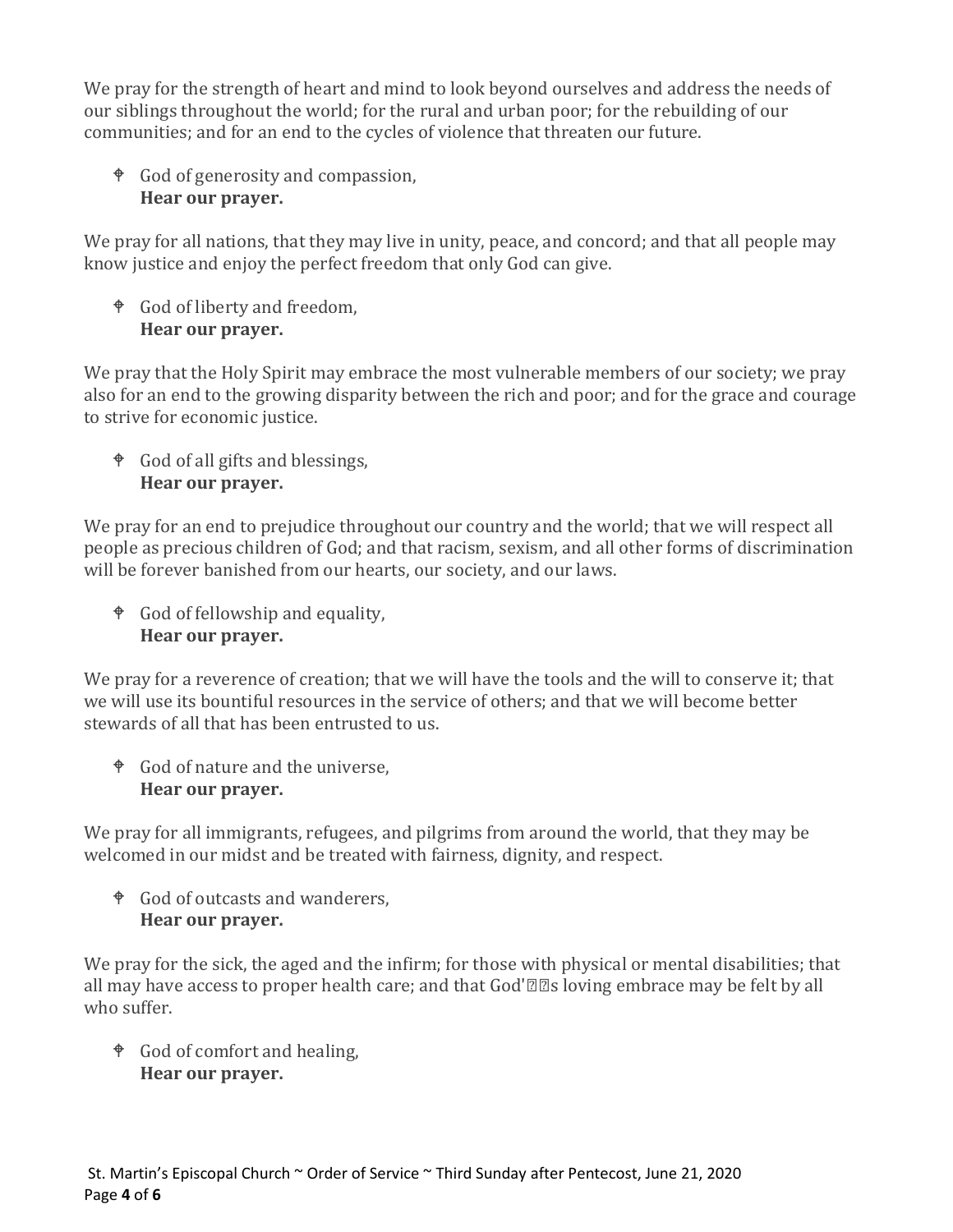We pray for the strength of heart and mind to look beyond ourselves and address the needs of our siblings throughout the world; for the rural and urban poor; for the rebuilding of our communities; and for an end to the cycles of violence that threaten our future.

 God of generosity and compassion, **Hear our prayer.**

We pray for all nations, that they may live in unity, peace, and concord; and that all people may know justice and enjoy the perfect freedom that only God can give.

 God of liberty and freedom, **Hear our prayer.**

We pray that the Holy Spirit may embrace the most vulnerable members of our society; we pray also for an end to the growing disparity between the rich and poor; and for the grace and courage to strive for economic justice.

 God of all gifts and blessings, **Hear our prayer.**

We pray for an end to prejudice throughout our country and the world; that we will respect all people as precious children of God; and that racism, sexism, and all other forms of discrimination will be forever banished from our hearts, our society, and our laws.

 God of fellowship and equality, **Hear our prayer.**

We pray for a reverence of creation; that we will have the tools and the will to conserve it; that we will use its bountiful resources in the service of others; and that we will become better stewards of all that has been entrusted to us.

 God of nature and the universe, **Hear our prayer.**

We pray for all immigrants, refugees, and pilgrims from around the world, that they may be welcomed in our midst and be treated with fairness, dignity, and respect.

 $\bullet$  God of outcasts and wanderers, **Hear our prayer.**

We pray for the sick, the aged and the infirm; for those with physical or mental disabilities; that all may have access to proper health care; and that God'€™s loving embrace may be felt by all who suffer.

 God of comfort and healing, **Hear our prayer.**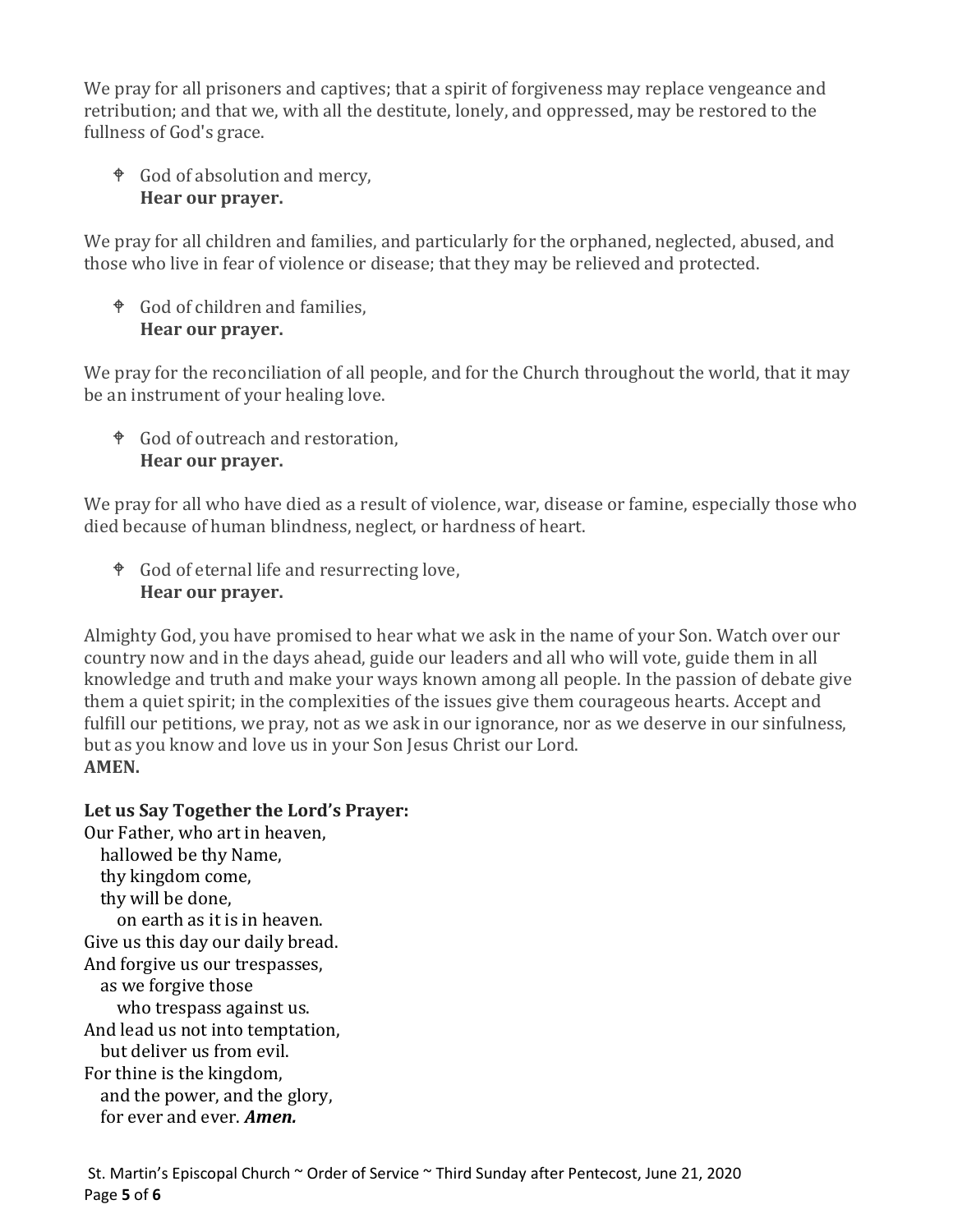We pray for all prisoners and captives; that a spirit of forgiveness may replace vengeance and retribution; and that we, with all the destitute, lonely, and oppressed, may be restored to the fullness of God's grace.

<sup> $\bullet$ </sup> God of absolution and mercy, **Hear our prayer.**

We pray for all children and families, and particularly for the orphaned, neglected, abused, and those who live in fear of violence or disease; that they may be relieved and protected.

 $\bullet$  God of children and families. **Hear our prayer.**

We pray for the reconciliation of all people, and for the Church throughout the world, that it may be an instrument of your healing love.

 $\bullet$  God of outreach and restoration. **Hear our prayer.**

We pray for all who have died as a result of violence, war, disease or famine, especially those who died because of human blindness, neglect, or hardness of heart.

<sup> $\bullet$ </sup> God of eternal life and resurrecting love, **Hear our prayer.**

Almighty God, you have promised to hear what we ask in the name of your Son. Watch over our country now and in the days ahead, guide our leaders and all who will vote, guide them in all knowledge and truth and make your ways known among all people. In the passion of debate give them a quiet spirit; in the complexities of the issues give them courageous hearts. Accept and fulfill our petitions, we pray, not as we ask in our ignorance, nor as we deserve in our sinfulness, but as you know and love us in your Son Jesus Christ our Lord. **AMEN.**

# **Let us Say Together the Lord's Prayer:**

Our Father, who art in heaven, hallowed be thy Name, thy kingdom come, thy will be done, on earth as it is in heaven. Give us this day our daily bread. And forgive us our trespasses, as we forgive those who trespass against us. And lead us not into temptation, but deliver us from evil. For thine is the kingdom, and the power, and the glory, for ever and ever. *Amen.*